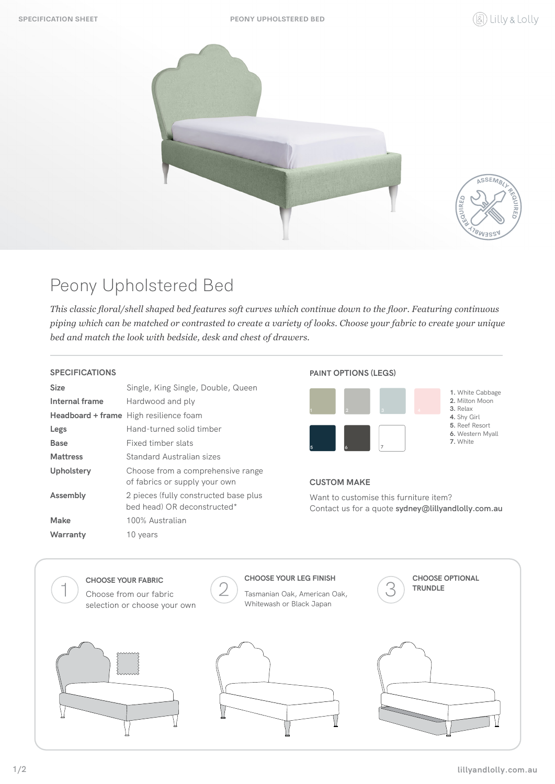**SPECIFICATION SHEET PEONY UPHOLSTERED BED**





# Peony Upholstered Bed

*This classic floral/shell shaped bed features soft curves which continue down to the floor. Featuring continuous piping which can be matched or contrasted to create a variety of looks. Choose your fabric to create your unique bed and match the look with bedside, desk and chest of drawers.*

### **SPECIFICATIONS**

| Size            | Single, King Single, Double, Queen                                   |
|-----------------|----------------------------------------------------------------------|
| Internal frame  | Hardwood and ply                                                     |
|                 | <b>Headboard + frame</b> High resilience foam                        |
| Legs            | Hand-turned solid timber                                             |
| <b>Base</b>     | Fixed timber slats                                                   |
| <b>Mattress</b> | Standard Australian sizes                                            |
| Upholstery      | Choose from a comprehensive range<br>of fabrics or supply your own   |
| Assembly        | 2 pieces (fully constructed base plus<br>hed head) OR deconstructed* |
| Make            | 100% Australian                                                      |
| Warranty        | 10 years                                                             |

### **PAINT OPTIONS (LEGS)**



### **CUSTOM MAKE**

Want to customise this furniture item? Contact us for a quote **sydney@lillyandlolly.com.au**

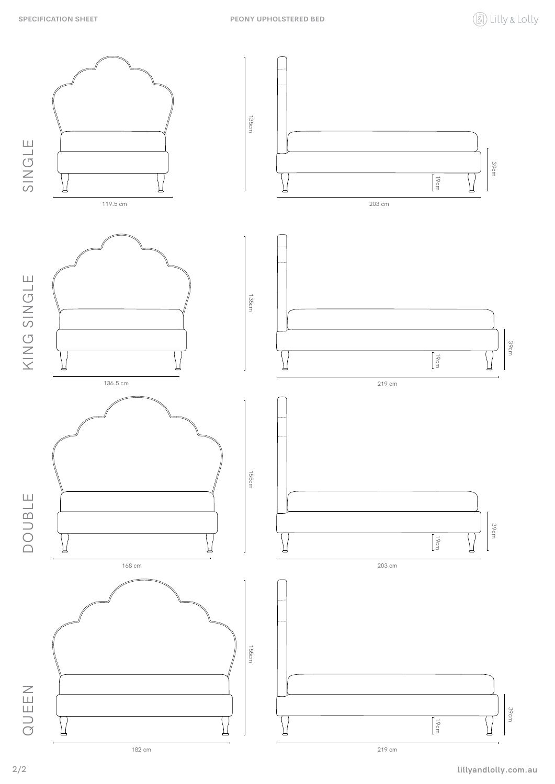

**lillyandlolly.com.au**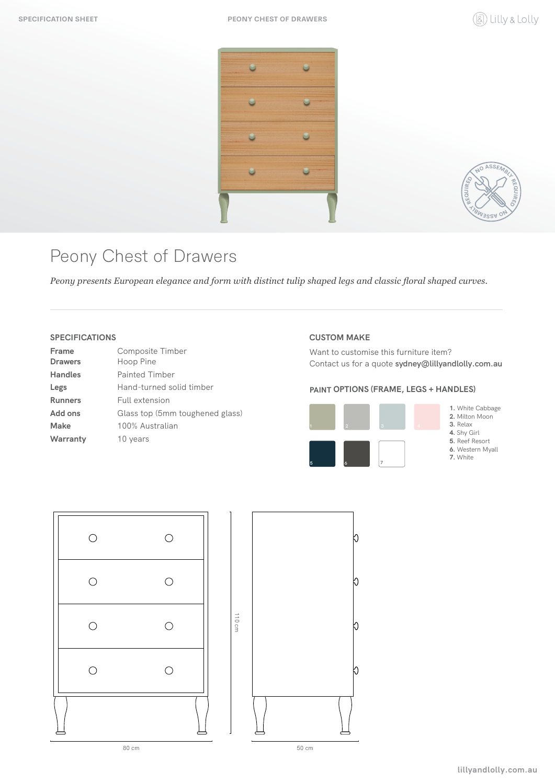



## Peony Chest of Drawers

*Peony presents European elegance and form with distinct tulip shaped legs and classic floral shaped curves.*

### **SPECIFICATIONS**

| Frame          | Composite Timber                |
|----------------|---------------------------------|
| <b>Drawers</b> | Hoop Pine                       |
| <b>Handles</b> | <b>Painted Timber</b>           |
| Legs           | Hand-turned solid timber        |
| <b>Runners</b> | Full extension                  |
| Add ons        | Glass top (5mm toughened glass) |
| Make           | 100% Australian                 |
| Warranty       | 10 years                        |
|                |                                 |

#### **CUSTOM MAKE**

Want to customise this furniture item? Contact us for a quote **sydney@lillyandlolly.com.au**

### **PAINT OPTIONS (FRAME, LEGS + HANDLES)**



**1.** White Cabbage

**2.** Milton Moon **3.** Relax

**4.** Shy Girl

**5.** Reef Resort

**6.** Western Myall

**7.** White



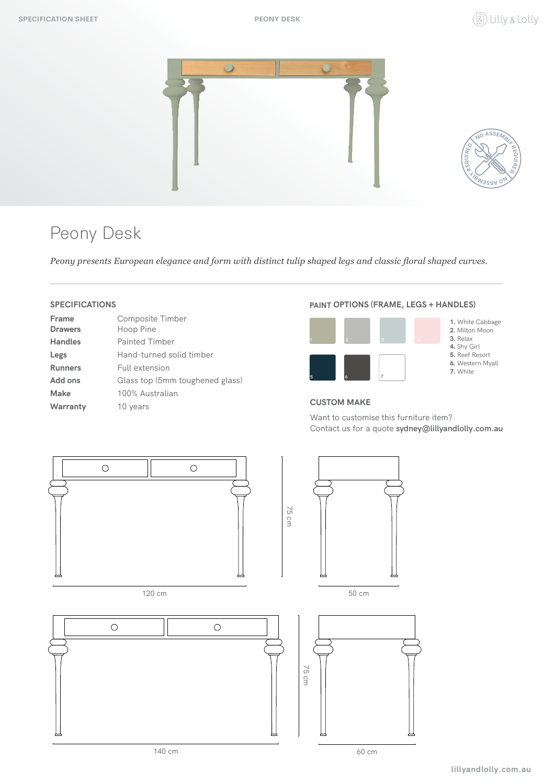



# Peony Desk

*Peony presents European elegance and form with distinct tulip shaped legs and classic floral shaped curves.*

## **SPECIFICATIONS**

| Frame          | Composite Timber                |
|----------------|---------------------------------|
| <b>Drawers</b> | Hoop Pine                       |
| <b>Handles</b> | Painted Timber                  |
| Legs           | Hand-turned solid timber        |
| <b>Runners</b> | Full extension                  |
| Add ons        | Glass top (5mm toughened glass) |
| Make           | 100% Australian                 |
| Warranty       | 10 years                        |

#### **PAINT OPTIONS (FRAME, LEGS + HANDLES)**



- **1.** White Cabbage **2.** Milton Moon
- **3.** Relax
- **4.** Shy Girl
- **5.** Reef Resort **6.** Western Myall
- **7.** White

### **CUSTOM MAKE**

Want to customise this furniture item? Contact us for a quote **sydney@lillyandlolly.com.au**